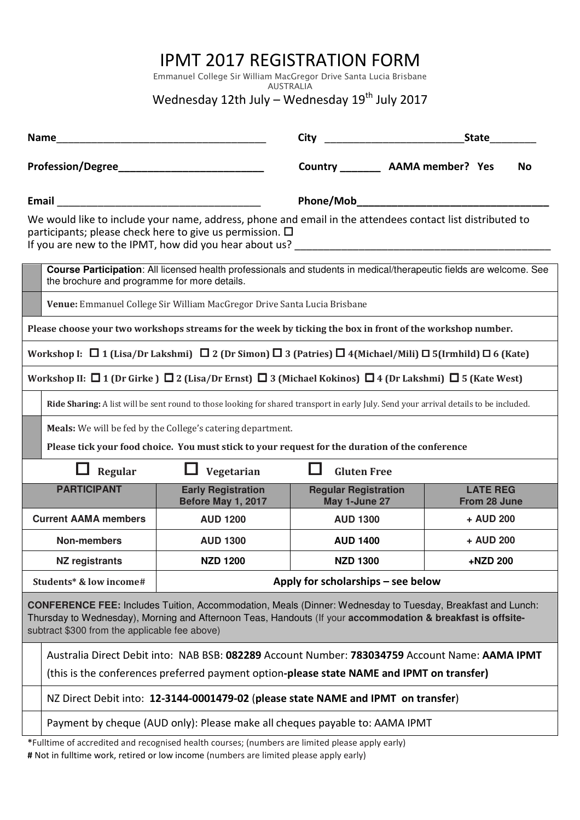## IPMT 2017 REGISTRATION FORM

Emmanuel College Sir William MacGregor Drive Santa Lucia Brisbane AUSTRALIA

Wednesday 12th July – Wednesday  $19<sup>th</sup>$  July 2017

| <b>Name</b>                                                                                                                                                                                                                                                                |                                                                                                                                                                                             |                                                 | <b>City</b>                                  | <b>State</b>                    |  |  |
|----------------------------------------------------------------------------------------------------------------------------------------------------------------------------------------------------------------------------------------------------------------------------|---------------------------------------------------------------------------------------------------------------------------------------------------------------------------------------------|-------------------------------------------------|----------------------------------------------|---------------------------------|--|--|
|                                                                                                                                                                                                                                                                            |                                                                                                                                                                                             |                                                 | Country __________ AAMA member? Yes          | No                              |  |  |
| Email<br>We would like to include your name, address, phone and email in the attendees contact list distributed to<br>participants; please check here to give us permission. $\Box$                                                                                        |                                                                                                                                                                                             |                                                 |                                              |                                 |  |  |
| If you are new to the IPMT, how did you hear about us?                                                                                                                                                                                                                     |                                                                                                                                                                                             |                                                 |                                              |                                 |  |  |
|                                                                                                                                                                                                                                                                            | Course Participation: All licensed health professionals and students in medical/therapeutic fields are welcome. See<br>the brochure and programme for more details.                         |                                                 |                                              |                                 |  |  |
|                                                                                                                                                                                                                                                                            | Venue: Emmanuel College Sir William MacGregor Drive Santa Lucia Brisbane                                                                                                                    |                                                 |                                              |                                 |  |  |
| Please choose your two workshops streams for the week by ticking the box in front of the workshop number.                                                                                                                                                                  |                                                                                                                                                                                             |                                                 |                                              |                                 |  |  |
| Workshop I: $\Box$ 1 (Lisa/Dr Lakshmi) $\Box$ 2 (Dr Simon) $\Box$ 3 (Patries) $\Box$ 4 (Michael/Mili) $\Box$ 5 (Irmhild) $\Box$ 6 (Kate)                                                                                                                                   |                                                                                                                                                                                             |                                                 |                                              |                                 |  |  |
| Workshop II: $\Box$ 1 (Dr Girke ) $\Box$ 2 (Lisa/Dr Ernst) $\Box$ 3 (Michael Kokinos) $\Box$ 4 (Dr Lakshmi) $\Box$ 5 (Kate West)                                                                                                                                           |                                                                                                                                                                                             |                                                 |                                              |                                 |  |  |
|                                                                                                                                                                                                                                                                            | Ride Sharing: A list will be sent round to those looking for shared transport in early July. Send your arrival details to be included.                                                      |                                                 |                                              |                                 |  |  |
|                                                                                                                                                                                                                                                                            | Meals: We will be fed by the College's catering department.                                                                                                                                 |                                                 |                                              |                                 |  |  |
|                                                                                                                                                                                                                                                                            | Please tick your food choice. You must stick to your request for the duration of the conference                                                                                             |                                                 |                                              |                                 |  |  |
| Vegetarian<br>Regular                                                                                                                                                                                                                                                      |                                                                                                                                                                                             |                                                 | <b>Gluten Free</b>                           |                                 |  |  |
|                                                                                                                                                                                                                                                                            | <b>PARTICIPANT</b>                                                                                                                                                                          | <b>Early Registration</b><br>Before May 1, 2017 | <b>Regular Registration</b><br>May 1-June 27 | <b>LATE REG</b><br>From 28 June |  |  |
| <b>Current AAMA members</b>                                                                                                                                                                                                                                                |                                                                                                                                                                                             | <b>AUD 1200</b>                                 | <b>AUD 1300</b>                              | + AUD 200                       |  |  |
|                                                                                                                                                                                                                                                                            | <b>Non-members</b>                                                                                                                                                                          | <b>AUD 1300</b>                                 | <b>AUD 1400</b>                              | + AUD 200                       |  |  |
|                                                                                                                                                                                                                                                                            | <b>NZ registrants</b>                                                                                                                                                                       | <b>NZD 1200</b>                                 | <b>NZD 1300</b>                              | +NZD 200                        |  |  |
| Students* & low income#                                                                                                                                                                                                                                                    |                                                                                                                                                                                             | Apply for scholarships - see below              |                                              |                                 |  |  |
| CONFERENCE FEE: Includes Tuition, Accommodation, Meals (Dinner: Wednesday to Tuesday, Breakfast and Lunch:<br>Thursday to Wednesday), Morning and Afternoon Teas, Handouts (If your accommodation & breakfast is offsite-<br>subtract \$300 from the applicable fee above) |                                                                                                                                                                                             |                                                 |                                              |                                 |  |  |
|                                                                                                                                                                                                                                                                            | Australia Direct Debit into: NAB BSB: 082289 Account Number: 783034759 Account Name: AAMA IPMT<br>(this is the conferences preferred payment option-please state NAME and IPMT on transfer) |                                                 |                                              |                                 |  |  |
|                                                                                                                                                                                                                                                                            | NZ Direct Debit into: 12-3144-0001479-02 (please state NAME and IPMT on transfer)                                                                                                           |                                                 |                                              |                                 |  |  |
|                                                                                                                                                                                                                                                                            | Payment by cheque (AUD only): Please make all cheques payable to: AAMA IPMT                                                                                                                 |                                                 |                                              |                                 |  |  |
|                                                                                                                                                                                                                                                                            | *Fulltime of accredited and recognised health courses; (numbers are limited please apply early)                                                                                             |                                                 |                                              |                                 |  |  |

# Not in fulltime work, retired or low income (numbers are limited please apply early)